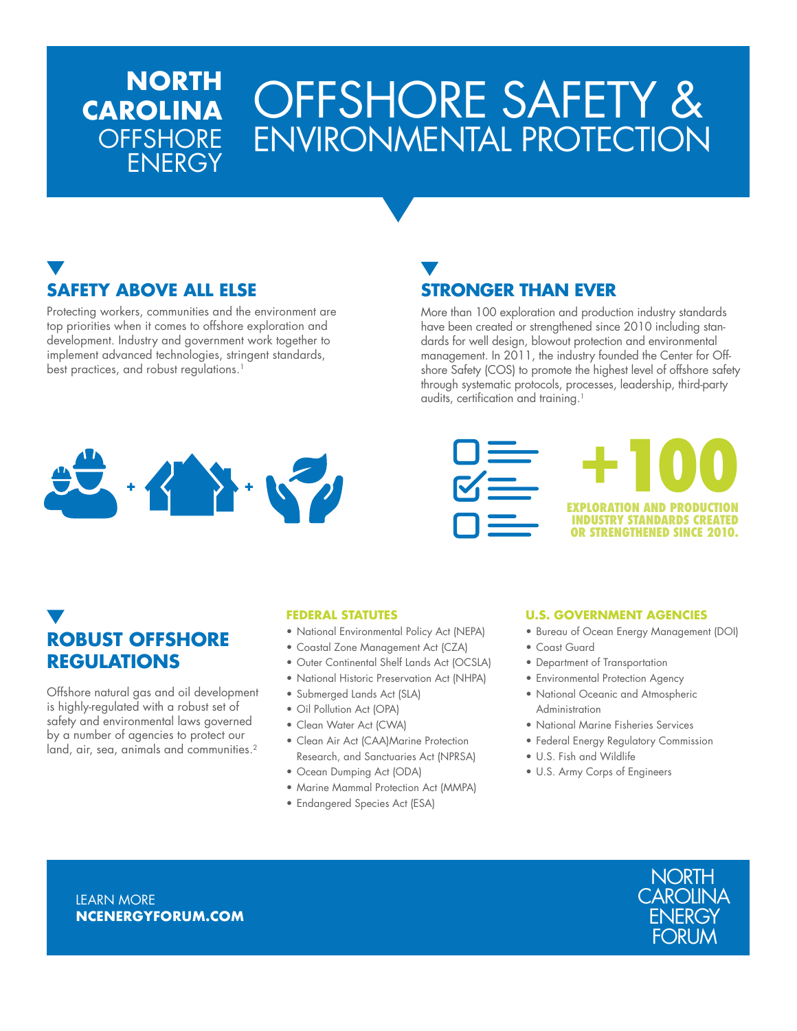# OFFSHORE SAFETY & ENVIRONMENTAL PROTECTION

## **SAFETY ABOVE ALL ELSE**

**NORTH** 

ENERGY

**CAROLINA**

**OFFSHORE** 

Protecting workers, communities and the environment are top priorities when it comes to offshore exploration and development. Industry and government work together to implement advanced technologies, stringent standards, best practices, and robust regulations.<sup>1</sup>

### **STRONGER THAN EVER**

More than 100 exploration and production industry standards have been created or strengthened since 2010 including standards for well design, blowout protection and environmental management. In 2011, the industry founded the Center for Offshore Safety (COS) to promote the highest level of offshore safety through systematic protocols, processes, leadership, third-party audits, certification and training.<sup>1</sup>







### **ROBUST OFFSHORE REGULATIONS**

Offshore natural gas and oil development is highly-regulated with a robust set of safety and environmental laws governed by a number of agencies to protect our land, air, sea, animals and communities.<sup>2</sup>

#### **FEDERAL STATUTES**

- National Environmental Policy Act (NEPA)
- Coastal Zone Management Act (CZA)
- Outer Continental Shelf Lands Act (OCSLA)
- National Historic Preservation Act (NHPA)
- Submerged Lands Act (SLA)
- Oil Pollution Act (OPA)
- Clean Water Act (CWA)
- Clean Air Act (CAA)Marine Protection Research, and Sanctuaries Act (NPRSA)
- Ocean Dumping Act (ODA)
- Marine Mammal Protection Act (MMPA)
- Endangered Species Act (ESA)

#### **U.S. GOVERNMENT AGENCIES**

- Bureau of Ocean Energy Management (DOI)
- Coast Guard
- Department of Transportation
- Environmental Protection Agency
- National Oceanic and Atmospheric Administration
- National Marine Fisheries Services
- Federal Energy Regulatory Commission
- U.S. Fish and Wildlife
- U.S. Army Corps of Engineers



**LEARN MORE NCENERGYFORUM.COM**